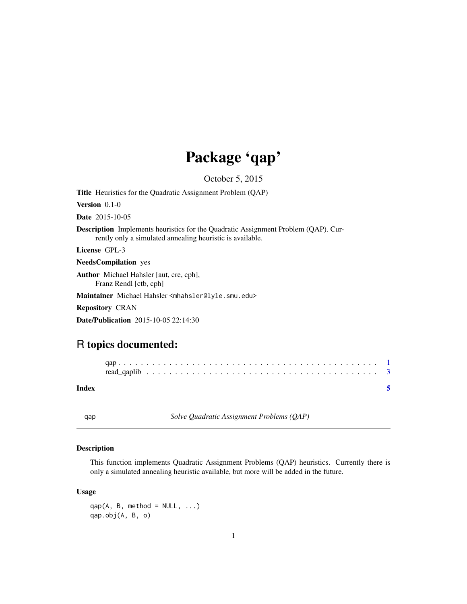## Package 'qap'

October 5, 2015

<span id="page-0-0"></span>Title Heuristics for the Quadratic Assignment Problem (QAP)

Version 0.1-0

Date 2015-10-05

Description Implements heuristics for the Quadratic Assignment Problem (QAP). Currently only a simulated annealing heuristic is available.

License GPL-3

NeedsCompilation yes

Author Michael Hahsler [aut, cre, cph],

Franz Rendl [ctb, cph]

Maintainer Michael Hahsler <mhahsler@lyle.smu.edu>

Repository CRAN

Date/Publication 2015-10-05 22:14:30

### R topics documented:

| Index |  |  |  |  |  |  |  |  |  |  |  |  |  |  |  |  |  |  |  |
|-------|--|--|--|--|--|--|--|--|--|--|--|--|--|--|--|--|--|--|--|

qap *Solve Quadratic Assignment Problems (QAP)*

#### Description

This function implements Quadratic Assignment Problems (QAP) heuristics. Currently there is only a simulated annealing heuristic available, but more will be added in the future.

#### Usage

 $qap(A, B, method = NULL, ...)$ qap.obj(A, B, o)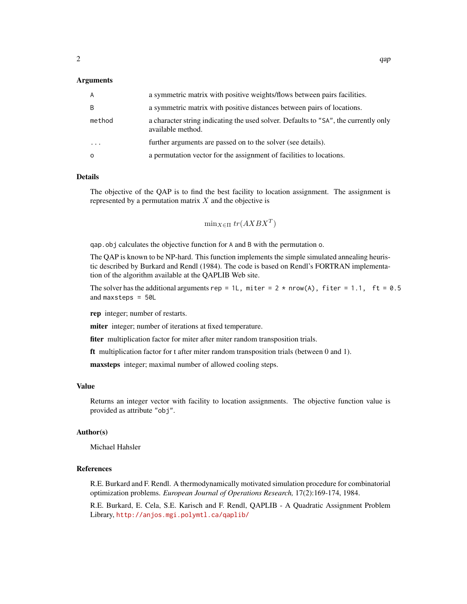#### Arguments

| A            | a symmetric matrix with positive weights/flows between pairs facilities.                                 |
|--------------|----------------------------------------------------------------------------------------------------------|
| <sub>B</sub> | a symmetric matrix with positive distances between pairs of locations.                                   |
| method       | a character string indicating the used solver. Defaults to "SA", the currently only<br>available method. |
| $\cdots$     | further arguments are passed on to the solver (see details).                                             |
| $\Omega$     | a permutation vector for the assignment of facilities to locations.                                      |

#### Details

The objective of the QAP is to find the best facility to location assignment. The assignment is represented by a permutation matrix  $X$  and the objective is

$$
\min_{X \in \Pi} \, tr(AXBX^T)
$$

qap.obj calculates the objective function for A and B with the permutation o.

The QAP is known to be NP-hard. This function implements the simple simulated annealing heuristic described by Burkard and Rendl (1984). The code is based on Rendl's FORTRAN implementation of the algorithm available at the QAPLIB Web site.

The solver has the additional arguments rep = 1L, miter =  $2 * nrow(A)$ , fiter = 1.1, ft = 0.5 and maxsteps = 50L

rep integer; number of restarts.

miter integer; number of iterations at fixed temperature.

fiter multiplication factor for miter after miter random transposition trials.

ft multiplication factor for t after miter random transposition trials (between 0 and 1).

maxsteps integer; maximal number of allowed cooling steps.

#### Value

Returns an integer vector with facility to location assignments. The objective function value is provided as attribute "obj".

#### Author(s)

Michael Hahsler

#### References

R.E. Burkard and F. Rendl. A thermodynamically motivated simulation procedure for combinatorial optimization problems. *European Journal of Operations Research,* 17(2):169-174, 1984.

R.E. Burkard, E. Cela, S.E. Karisch and F. Rendl, QAPLIB - A Quadratic Assignment Problem Library, <http://anjos.mgi.polymtl.ca/qaplib/>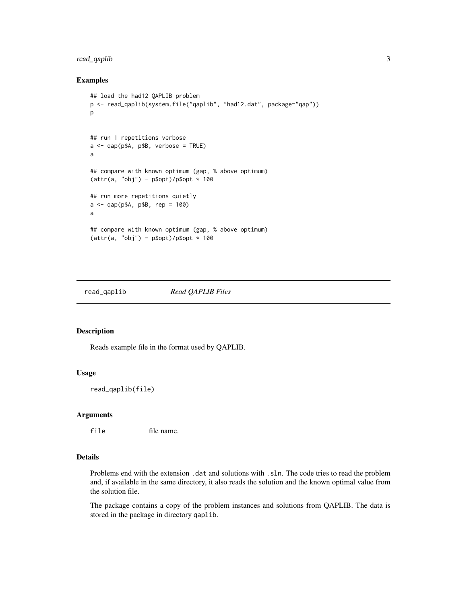#### <span id="page-2-0"></span>read\_qaplib 3

#### Examples

```
## load the had12 QAPLIB problem
p <- read_qaplib(system.file("qaplib", "had12.dat", package="qap"))
p
## run 1 repetitions verbose
a \leq qap(pA, pB, verbose = TRUE)a
## compare with known optimum (gap, % above optimum)
(attr(a, "obj") - p$opt)/p$opt * 100
## run more repetitions quietly
a <- qap(p$A, p$B, rep = 100)
a
## compare with known optimum (gap, % above optimum)
(attr(a, "obj") - p$opt)/p$opt * 100
```
read\_qaplib *Read QAPLIB Files*

#### Description

Reads example file in the format used by QAPLIB.

#### Usage

```
read_qaplib(file)
```
#### Arguments

file file name.

#### Details

Problems end with the extension .dat and solutions with .sln. The code tries to read the problem and, if available in the same directory, it also reads the solution and the known optimal value from the solution file.

The package contains a copy of the problem instances and solutions from QAPLIB. The data is stored in the package in directory qaplib.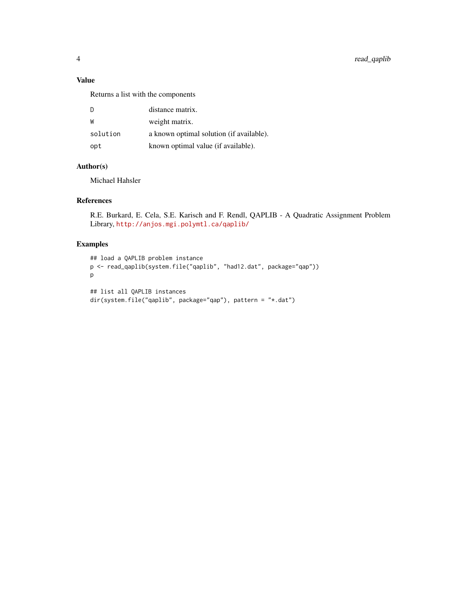#### Value

Returns a list with the components

| <sup>D</sup> | distance matrix.                         |
|--------------|------------------------------------------|
| W            | weight matrix.                           |
| solution     | a known optimal solution (if available). |
| opt          | known optimal value (if available).      |

#### Author(s)

Michael Hahsler

#### References

R.E. Burkard, E. Cela, S.E. Karisch and F. Rendl, QAPLIB - A Quadratic Assignment Problem Library, <http://anjos.mgi.polymtl.ca/qaplib/>

#### Examples

```
## load a QAPLIB problem instance
p <- read_qaplib(system.file("qaplib", "had12.dat", package="qap"))
p
## list all QAPLIB instances
dir(system.file("qaplib", package="qap"), pattern = "*.dat")
```